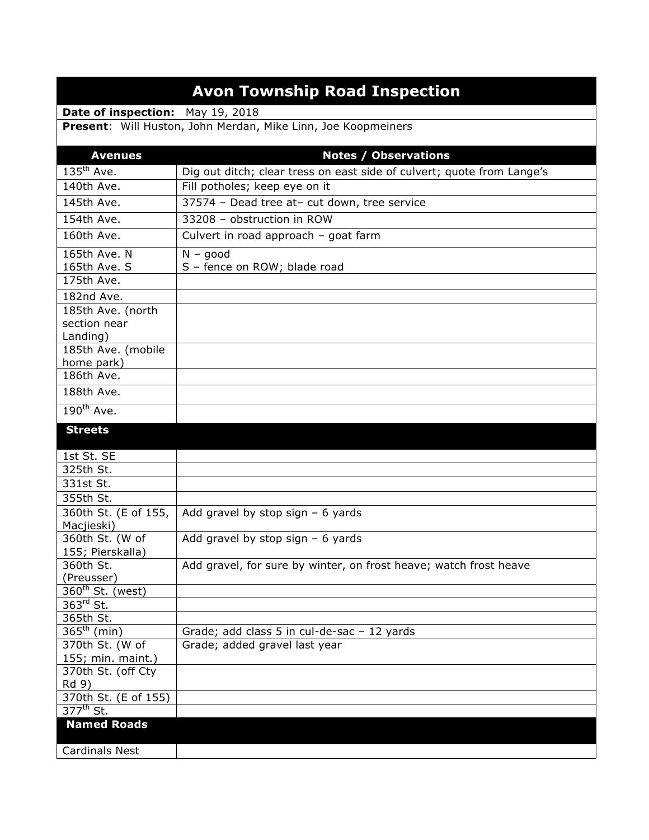## **Avon Township Road Inspection**

**Date of inspection:** May 19, 2018

**Present**: Will Huston, John Merdan, Mike Linn, Joe Koopmeiners

| <b>Avenues</b>                      | <b>Notes / Observations</b>                                            |
|-------------------------------------|------------------------------------------------------------------------|
| $135th$ Ave.                        | Dig out ditch; clear tress on east side of culvert; quote from Lange's |
| 140th Ave.                          | Fill potholes; keep eye on it                                          |
| 145th Ave.                          | 37574 - Dead tree at- cut down, tree service                           |
| 154th Ave.                          | 33208 - obstruction in ROW                                             |
| 160th Ave.                          | Culvert in road approach - goat farm                                   |
| 165th Ave. N                        | $N - good$                                                             |
| 165th Ave. S                        | S - fence on ROW; blade road                                           |
| 175th Ave.                          |                                                                        |
| 182nd Ave.                          |                                                                        |
| 185th Ave. (north                   |                                                                        |
| section near                        |                                                                        |
| Landing)                            |                                                                        |
| 185th Ave. (mobile                  |                                                                        |
| home park)                          |                                                                        |
| 186th Ave.                          |                                                                        |
| 188th Ave.                          |                                                                        |
| $190^{th}$ Ave.                     |                                                                        |
| <b>Streets</b>                      |                                                                        |
|                                     |                                                                        |
| 1st St. SE<br>325th St.             |                                                                        |
| 331st St.                           |                                                                        |
| 355th St.                           |                                                                        |
|                                     |                                                                        |
| 360th St. (E of 155,<br>Macjieski)  | Add gravel by stop sign $-6$ yards                                     |
| 360th St. (W of                     | Add gravel by stop sign $-6$ yards                                     |
| 155; Pierskalla)                    |                                                                        |
| 360th St.                           | Add gravel, for sure by winter, on frost heave; watch frost heave      |
| (Preusser)                          |                                                                        |
| $360th$ St. (west)                  |                                                                        |
| $363^{\text{rd}}$ St.               |                                                                        |
| 365th St.                           |                                                                        |
| $365th$ (min)                       | Grade; add class 5 in cul-de-sac - 12 yards                            |
| 370th St. (W of                     | Grade; added gravel last year                                          |
| 155; min. maint.)                   |                                                                        |
| 370th St. (off Cty                  |                                                                        |
| Rd 9)                               |                                                                        |
| 370th St. (E of 155)<br>$377th$ St. |                                                                        |
| <b>Named Roads</b>                  |                                                                        |
|                                     |                                                                        |
| <b>Cardinals Nest</b>               |                                                                        |